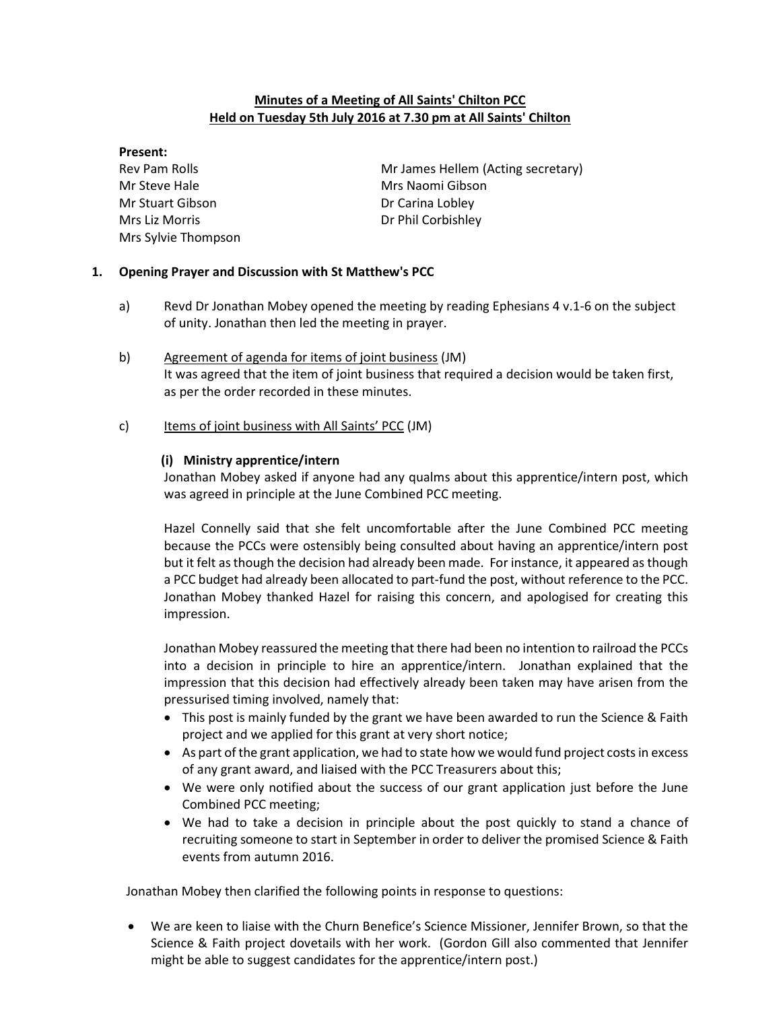### Minutes of a Meeting of All Saints' Chilton PCC Held on Tuesday 5th July 2016 at 7.30 pm at All Saints' Chilton

#### Present:

Mr Steve Hale Mrs Naomi Gibson Mr Stuart Gibson **Dr Carina Lobley** Mrs Liz Morris **Dr Phil Corbishley** Mrs Sylvie Thompson

Rev Pam Rolls **Mr James Hellem (Acting secretary)** 

## 1. Opening Prayer and Discussion with St Matthew's PCC

- a) Revd Dr Jonathan Mobey opened the meeting by reading Ephesians 4 v.1-6 on the subject of unity. Jonathan then led the meeting in prayer.
- b) Agreement of agenda for items of joint business (JM) It was agreed that the item of joint business that required a decision would be taken first, as per the order recorded in these minutes.
- c) Items of joint business with All Saints' PCC (JM)

## (i) Ministry apprentice/intern

Jonathan Mobey asked if anyone had any qualms about this apprentice/intern post, which was agreed in principle at the June Combined PCC meeting.

Hazel Connelly said that she felt uncomfortable after the June Combined PCC meeting because the PCCs were ostensibly being consulted about having an apprentice/intern post but it felt as though the decision had already been made. For instance, it appeared as though a PCC budget had already been allocated to part-fund the post, without reference to the PCC. Jonathan Mobey thanked Hazel for raising this concern, and apologised for creating this impression.

Jonathan Mobey reassured the meeting that there had been no intention to railroad the PCCs into a decision in principle to hire an apprentice/intern. Jonathan explained that the impression that this decision had effectively already been taken may have arisen from the pressurised timing involved, namely that:

- This post is mainly funded by the grant we have been awarded to run the Science & Faith project and we applied for this grant at very short notice;
- As part of the grant application, we had to state how we would fund project costs in excess of any grant award, and liaised with the PCC Treasurers about this;
- We were only notified about the success of our grant application just before the June Combined PCC meeting;
- We had to take a decision in principle about the post quickly to stand a chance of recruiting someone to start in September in order to deliver the promised Science & Faith events from autumn 2016.

Jonathan Mobey then clarified the following points in response to questions:

 We are keen to liaise with the Churn Benefice's Science Missioner, Jennifer Brown, so that the Science & Faith project dovetails with her work. (Gordon Gill also commented that Jennifer might be able to suggest candidates for the apprentice/intern post.)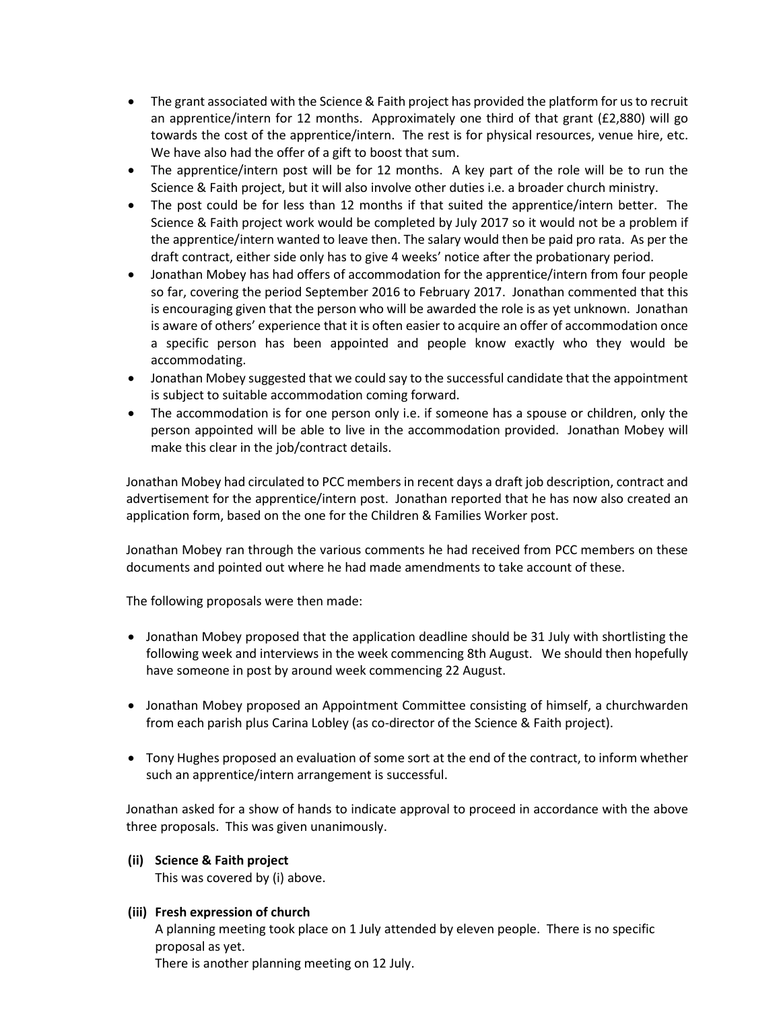- The grant associated with the Science & Faith project has provided the platform for us to recruit an apprentice/intern for 12 months. Approximately one third of that grant (£2,880) will go towards the cost of the apprentice/intern. The rest is for physical resources, venue hire, etc. We have also had the offer of a gift to boost that sum.
- The apprentice/intern post will be for 12 months. A key part of the role will be to run the Science & Faith project, but it will also involve other duties i.e. a broader church ministry.
- The post could be for less than 12 months if that suited the apprentice/intern better. The Science & Faith project work would be completed by July 2017 so it would not be a problem if the apprentice/intern wanted to leave then. The salary would then be paid pro rata. As per the draft contract, either side only has to give 4 weeks' notice after the probationary period.
- Jonathan Mobey has had offers of accommodation for the apprentice/intern from four people so far, covering the period September 2016 to February 2017. Jonathan commented that this is encouraging given that the person who will be awarded the role is as yet unknown. Jonathan is aware of others' experience that it is often easier to acquire an offer of accommodation once a specific person has been appointed and people know exactly who they would be accommodating.
- Jonathan Mobey suggested that we could say to the successful candidate that the appointment is subject to suitable accommodation coming forward.
- The accommodation is for one person only i.e. if someone has a spouse or children, only the person appointed will be able to live in the accommodation provided. Jonathan Mobey will make this clear in the job/contract details.

Jonathan Mobey had circulated to PCC members in recent days a draft job description, contract and advertisement for the apprentice/intern post. Jonathan reported that he has now also created an application form, based on the one for the Children & Families Worker post.

Jonathan Mobey ran through the various comments he had received from PCC members on these documents and pointed out where he had made amendments to take account of these.

The following proposals were then made:

- Jonathan Mobey proposed that the application deadline should be 31 July with shortlisting the following week and interviews in the week commencing 8th August. We should then hopefully have someone in post by around week commencing 22 August.
- Jonathan Mobey proposed an Appointment Committee consisting of himself, a churchwarden from each parish plus Carina Lobley (as co-director of the Science & Faith project).
- Tony Hughes proposed an evaluation of some sort at the end of the contract, to inform whether such an apprentice/intern arrangement is successful.

Jonathan asked for a show of hands to indicate approval to proceed in accordance with the above three proposals. This was given unanimously.

### (ii) Science & Faith project

This was covered by (i) above.

### (iii) Fresh expression of church

A planning meeting took place on 1 July attended by eleven people. There is no specific proposal as yet.

There is another planning meeting on 12 July.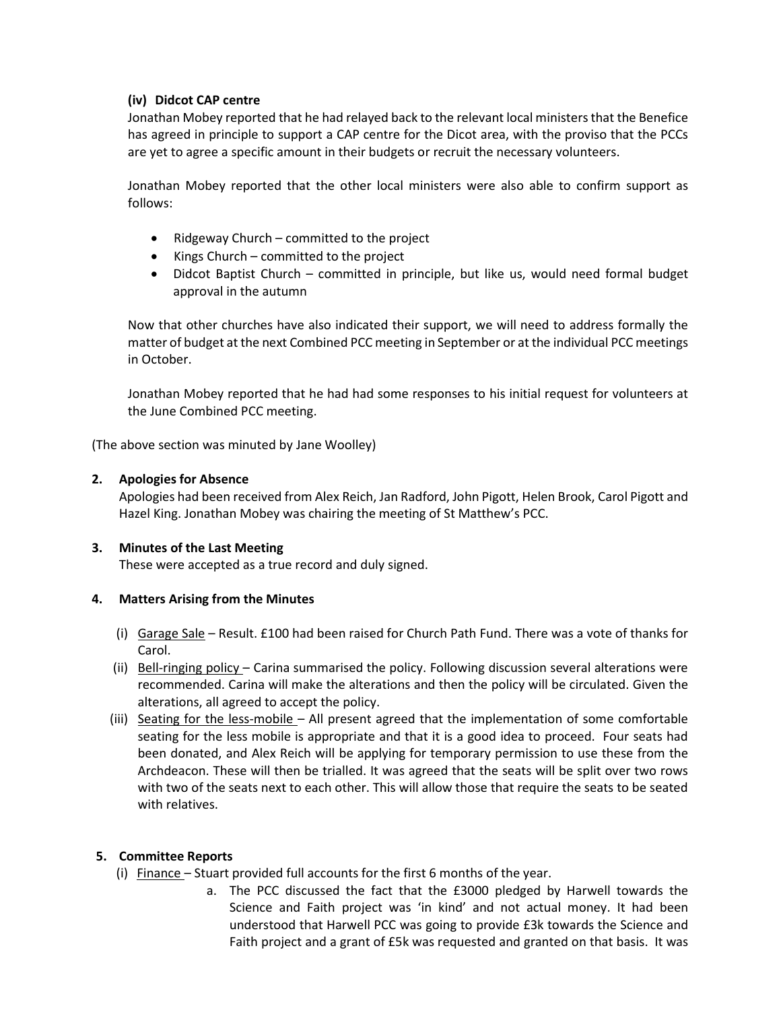## (iv) Didcot CAP centre

Jonathan Mobey reported that he had relayed back to the relevant local ministers that the Benefice has agreed in principle to support a CAP centre for the Dicot area, with the proviso that the PCCs are yet to agree a specific amount in their budgets or recruit the necessary volunteers.

Jonathan Mobey reported that the other local ministers were also able to confirm support as follows:

- Ridgeway Church committed to the project
- $\bullet$  Kings Church committed to the project
- Didcot Baptist Church committed in principle, but like us, would need formal budget approval in the autumn

Now that other churches have also indicated their support, we will need to address formally the matter of budget at the next Combined PCC meeting in September or at the individual PCC meetings in October.

Jonathan Mobey reported that he had had some responses to his initial request for volunteers at the June Combined PCC meeting.

(The above section was minuted by Jane Woolley)

#### 2. Apologies for Absence

Apologies had been received from Alex Reich, Jan Radford, John Pigott, Helen Brook, Carol Pigott and Hazel King. Jonathan Mobey was chairing the meeting of St Matthew's PCC.

### 3. Minutes of the Last Meeting

These were accepted as a true record and duly signed.

### 4. Matters Arising from the Minutes

- (i) Garage Sale Result. £100 had been raised for Church Path Fund. There was a vote of thanks for Carol.
- (ii) Bell-ringing policy Carina summarised the policy. Following discussion several alterations were recommended. Carina will make the alterations and then the policy will be circulated. Given the alterations, all agreed to accept the policy.
- (iii) Seating for the less-mobile All present agreed that the implementation of some comfortable seating for the less mobile is appropriate and that it is a good idea to proceed. Four seats had been donated, and Alex Reich will be applying for temporary permission to use these from the Archdeacon. These will then be trialled. It was agreed that the seats will be split over two rows with two of the seats next to each other. This will allow those that require the seats to be seated with relatives.

### 5. Committee Reports

- (i) Finance Stuart provided full accounts for the first 6 months of the year.
	- a. The PCC discussed the fact that the £3000 pledged by Harwell towards the Science and Faith project was 'in kind' and not actual money. It had been understood that Harwell PCC was going to provide £3k towards the Science and Faith project and a grant of £5k was requested and granted on that basis. It was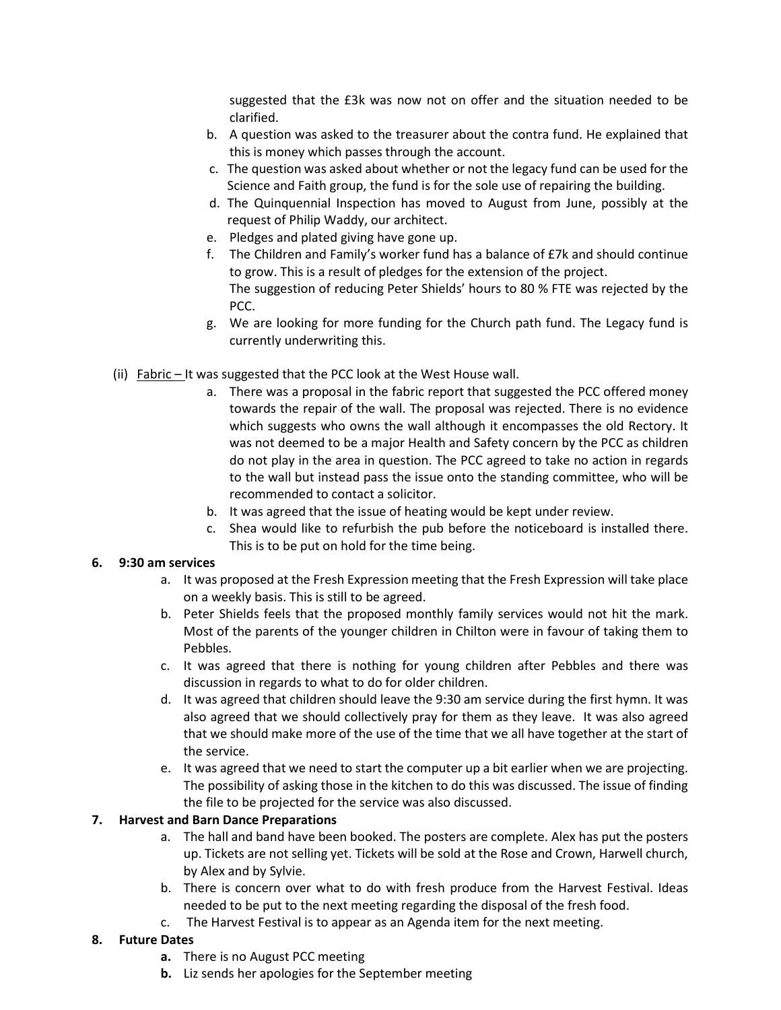suggested that the £3k was now not on offer and the situation needed to be clarified.

- b. A question was asked to the treasurer about the contra fund. He explained that this is money which passes through the account.
- c. The question was asked about whether or not the legacy fund can be used for the Science and Faith group, the fund is for the sole use of repairing the building.
- d. The Quinquennial Inspection has moved to August from June, possibly at the request of Philip Waddy, our architect.
- e. Pledges and plated giving have gone up.
- f. The Children and Family's worker fund has a balance of  $E7k$  and should continue to grow. This is a result of pledges for the extension of the project. The suggestion of reducing Peter Shields' hours to 80 % FTE was rejected by the PCC.
- g. We are looking for more funding for the Church path fund. The Legacy fund is currently underwriting this.
- (ii)  $Fabric It was suggested that the PCC look at the West House wall.$ 
	- a. There was a proposal in the fabric report that suggested the PCC offered money towards the repair of the wall. The proposal was rejected. There is no evidence which suggests who owns the wall although it encompasses the old Rectory. It was not deemed to be a major Health and Safety concern by the PCC as children do not play in the area in question. The PCC agreed to take no action in regards to the wall but instead pass the issue onto the standing committee, who will be recommended to contact a solicitor.
	- b. It was agreed that the issue of heating would be kept under review.
	- c. Shea would like to refurbish the pub before the noticeboard is installed there. This is to be put on hold for the time being.

## 6. 9:30 am services

- a. It was proposed at the Fresh Expression meeting that the Fresh Expression will take place on a weekly basis. This is still to be agreed.
- b. Peter Shields feels that the proposed monthly family services would not hit the mark. Most of the parents of the younger children in Chilton were in favour of taking them to Pebbles.
- c. It was agreed that there is nothing for young children after Pebbles and there was discussion in regards to what to do for older children.
- d. It was agreed that children should leave the 9:30 am service during the first hymn. It was also agreed that we should collectively pray for them as they leave. It was also agreed that we should make more of the use of the time that we all have together at the start of the service.
- e. It was agreed that we need to start the computer up a bit earlier when we are projecting. The possibility of asking those in the kitchen to do this was discussed. The issue of finding the file to be projected for the service was also discussed.

# 7. Harvest and Barn Dance Preparations

- a. The hall and band have been booked. The posters are complete. Alex has put the posters up. Tickets are not selling yet. Tickets will be sold at the Rose and Crown, Harwell church, by Alex and by Sylvie.
- b. There is concern over what to do with fresh produce from the Harvest Festival. Ideas needed to be put to the next meeting regarding the disposal of the fresh food.
- c. The Harvest Festival is to appear as an Agenda item for the next meeting.

## 8. Future Dates

- a. There is no August PCC meeting
- **b.** Liz sends her apologies for the September meeting